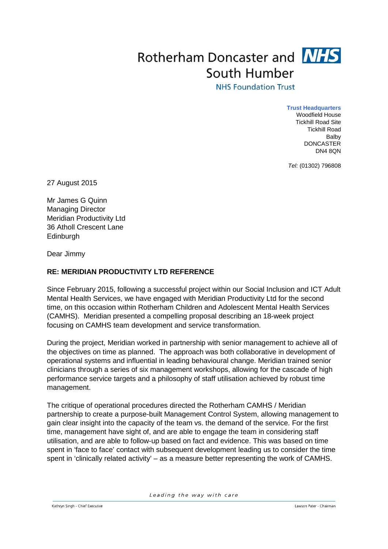## Rotherham Doncaster and **NHS** South Humber

## **NHS Foundation Trust**

**Trust Headquarters** Woodfield House Tickhill Road Site Tickhill Road Balby DONCASTER DN4 8QN

*Tel:* (01302) 796808

27 August 2015

Mr James G Quinn Managing Director Meridian Productivity Ltd 36 Atholl Crescent Lane Edinburgh

Dear Jimmy

## **RE: MERIDIAN PRODUCTIVITY LTD REFERENCE**

Since February 2015, following a successful project within our Social Inclusion and ICT Adult Mental Health Services, we have engaged with Meridian Productivity Ltd for the second time, on this occasion within Rotherham Children and Adolescent Mental Health Services (CAMHS). Meridian presented a compelling proposal describing an 18-week project focusing on CAMHS team development and service transformation.

During the project, Meridian worked in partnership with senior management to achieve all of the objectives on time as planned. The approach was both collaborative in development of operational systems and influential in leading behavioural change. Meridian trained senior clinicians through a series of six management workshops, allowing for the cascade of high performance service targets and a philosophy of staff utilisation achieved by robust time management.

The critique of operational procedures directed the Rotherham CAMHS / Meridian partnership to create a purpose-built Management Control System, allowing management to gain clear insight into the capacity of the team vs. the demand of the service. For the first time, management have sight of, and are able to engage the team in considering staff utilisation, and are able to follow-up based on fact and evidence. This was based on time spent in 'face to face' contact with subsequent development leading us to consider the time spent in 'clinically related activity' – as a measure better representing the work of CAMHS.

Leading the way with care